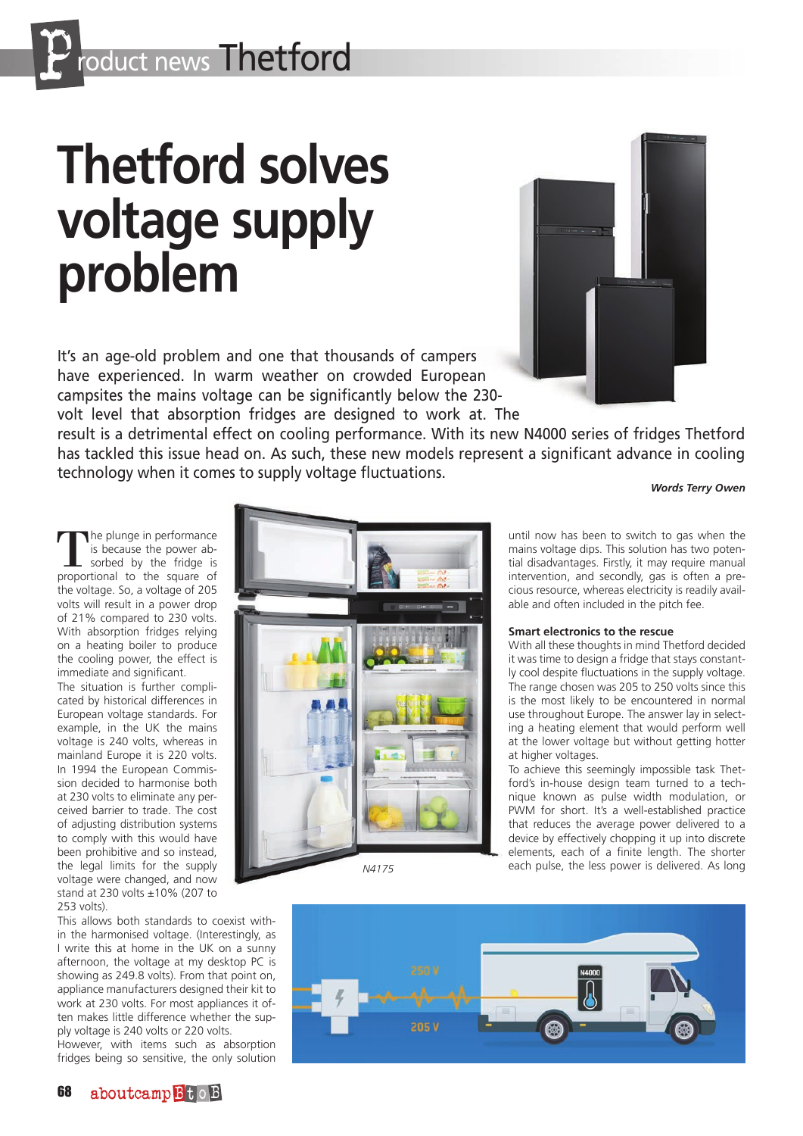# **Thetford solves voltage supply problem**

It's an age-old problem and one that thousands of campers have experienced. In warm weather on crowded European campsites the mains voltage can be significantly below the 230-

technology when it comes to supply voltage fluctuations.

volt level that absorption fridges are designed to work at. The result is a detrimental effect on cooling performance. With its new N4000 series of fridges Thetford has tackled this issue head on. As such, these new models represent a significant advance in cooling

*Words Terry Owen*

The plunge in performance is because the power absorbed by the fridge is proportional to the square of the voltage. So, a voltage of 205 volts will result in a power drop of 21% compared to 230 volts. With absorption fridges relying on a heating boiler to produce the cooling power, the effect is immediate and significant.

The situation is further complicated by historical differences in European voltage standards. For example, in the UK the mains voltage is 240 volts, whereas in mainland Europe it is 220 volts. In 1994 the European Commission decided to harmonise both at 230 volts to eliminate any perceived barrier to trade. The cost of adjusting distribution systems to comply with this would have been prohibitive and so instead, the legal limits for the supply voltage were changed, and now stand at 230 volts ±10% (207 to 253 volts).

This allows both standards to coexist within the harmonised voltage. (Interestingly, as I write this at home in the UK on a sunny afternoon, the voltage at my desktop PC is showing as 249.8 volts). From that point on, appliance manufacturers designed their kit to work at 230 volts. For most appliances it often makes little difference whether the supply voltage is 240 volts or 220 volts.

However, with items such as absorption fridges being so sensitive, the only solution



until now has been to switch to gas when the mains voltage dips. This solution has two potential disadvantages. Firstly, it may require manual intervention, and secondly, gas is often a precious resource, whereas electricity is readily available and often included in the pitch fee.

# **Smart electronics to the rescue**

With all these thoughts in mind Thetford decided it was time to design a fridge that stays constantly cool despite fluctuations in the supply voltage. The range chosen was 205 to 250 volts since this is the most likely to be encountered in normal use throughout Europe. The answer lay in selecting a heating element that would perform well at the lower voltage but without getting hotter at higher voltages.

To achieve this seemingly impossible task Thetford's in-house design team turned to a technique known as pulse width modulation, or PWM for short. It's a well-established practice that reduces the average power delivered to a device by effectively chopping it up into discrete elements, each of a finite length. The shorter each pulse, the less power is delivered. As long